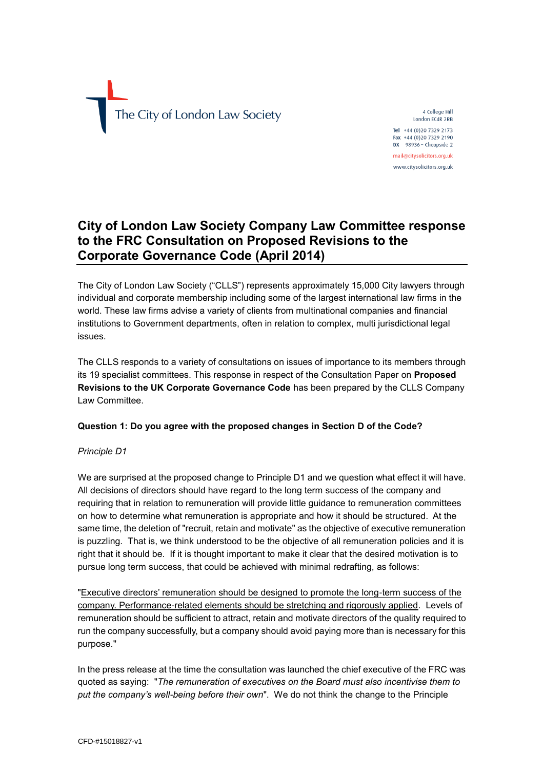The City of London Law Society

4 College Hill London EC4R 2RB

Tel +44 (0) 20 7329 2173 Fax +44 (0)20 7329 2190  $DX$  98936 - Cheapside 2

mail@citysolicitors.org.uk www.citysolicitors.org.uk

# **City of London Law Society Company Law Committee response to the FRC Consultation on Proposed Revisions to the Corporate Governance Code (April 2014)**

The City of London Law Society ("CLLS") represents approximately 15,000 City lawyers through individual and corporate membership including some of the largest international law firms in the world. These law firms advise a variety of clients from multinational companies and financial institutions to Government departments, often in relation to complex, multi jurisdictional legal issues.

The CLLS responds to a variety of consultations on issues of importance to its members through its 19 specialist committees. This response in respect of the Consultation Paper on **Proposed Revisions to the UK Corporate Governance Code** has been prepared by the CLLS Company Law Committee.

#### **Question 1: Do you agree with the proposed changes in Section D of the Code?**

#### *Principle D1*

We are surprised at the proposed change to Principle D1 and we question what effect it will have. All decisions of directors should have regard to the long term success of the company and requiring that in relation to remuneration will provide little guidance to remuneration committees on how to determine what remuneration is appropriate and how it should be structured. At the same time, the deletion of "recruit, retain and motivate" as the objective of executive remuneration is puzzling. That is, we think understood to be the objective of all remuneration policies and it is right that it should be. If it is thought important to make it clear that the desired motivation is to pursue long term success, that could be achieved with minimal redrafting, as follows:

"Executive directors' remuneration should be designed to promote the long-term success of the company. Performance-related elements should be stretching and rigorously applied. Levels of remuneration should be sufficient to attract, retain and motivate directors of the quality required to run the company successfully, but a company should avoid paying more than is necessary for this purpose."

In the press release at the time the consultation was launched the chief executive of the FRC was quoted as saying: "*The remuneration of executives on the Board must also incentivise them to put the company's well-being before their own*". We do not think the change to the Principle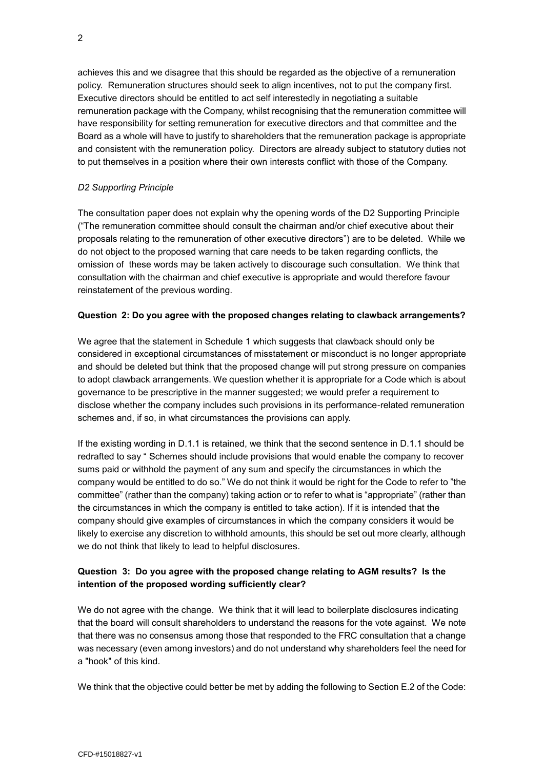achieves this and we disagree that this should be regarded as the objective of a remuneration policy. Remuneration structures should seek to align incentives, not to put the company first. Executive directors should be entitled to act self interestedly in negotiating a suitable remuneration package with the Company, whilst recognising that the remuneration committee will have responsibility for setting remuneration for executive directors and that committee and the Board as a whole will have to justify to shareholders that the remuneration package is appropriate and consistent with the remuneration policy. Directors are already subject to statutory duties not to put themselves in a position where their own interests conflict with those of the Company.

#### *D2 Supporting Principle*

The consultation paper does not explain why the opening words of the D2 Supporting Principle ("The remuneration committee should consult the chairman and/or chief executive about their proposals relating to the remuneration of other executive directors") are to be deleted. While we do not object to the proposed warning that care needs to be taken regarding conflicts, the omission of these words may be taken actively to discourage such consultation. We think that consultation with the chairman and chief executive is appropriate and would therefore favour reinstatement of the previous wording.

#### **Question 2: Do you agree with the proposed changes relating to clawback arrangements?**

We agree that the statement in Schedule 1 which suggests that clawback should only be considered in exceptional circumstances of misstatement or misconduct is no longer appropriate and should be deleted but think that the proposed change will put strong pressure on companies to adopt clawback arrangements. We question whether it is appropriate for a Code which is about governance to be prescriptive in the manner suggested; we would prefer a requirement to disclose whether the company includes such provisions in its performance-related remuneration schemes and, if so, in what circumstances the provisions can apply.

If the existing wording in D.1.1 is retained, we think that the second sentence in D.1.1 should be redrafted to say " Schemes should include provisions that would enable the company to recover sums paid or withhold the payment of any sum and specify the circumstances in which the company would be entitled to do so." We do not think it would be right for the Code to refer to "the committee" (rather than the company) taking action or to refer to what is "appropriate" (rather than the circumstances in which the company is entitled to take action). If it is intended that the company should give examples of circumstances in which the company considers it would be likely to exercise any discretion to withhold amounts, this should be set out more clearly, although we do not think that likely to lead to helpful disclosures.

### **Question 3: Do you agree with the proposed change relating to AGM results? Is the intention of the proposed wording sufficiently clear?**

We do not agree with the change. We think that it will lead to boilerplate disclosures indicating that the board will consult shareholders to understand the reasons for the vote against. We note that there was no consensus among those that responded to the FRC consultation that a change was necessary (even among investors) and do not understand why shareholders feel the need for a "hook" of this kind.

We think that the objective could better be met by adding the following to Section E.2 of the Code: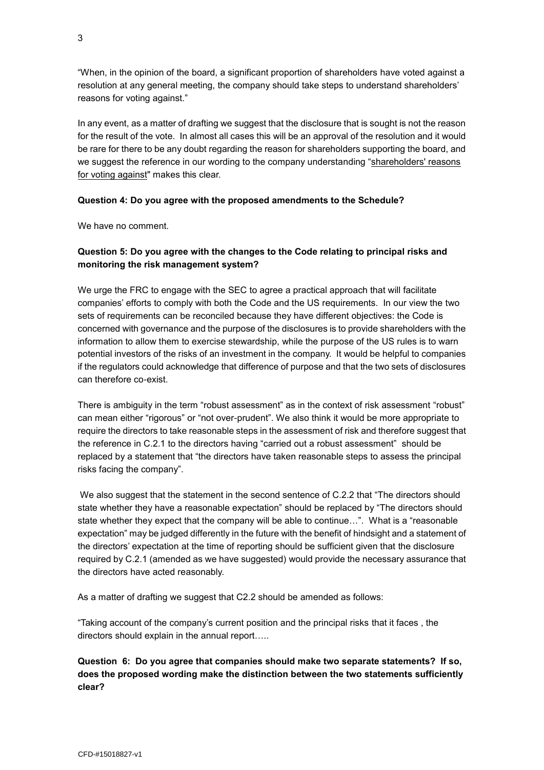"When, in the opinion of the board, a significant proportion of shareholders have voted against a resolution at any general meeting, the company should take steps to understand shareholders' reasons for voting against."

In any event, as a matter of drafting we suggest that the disclosure that is sought is not the reason for the result of the vote. In almost all cases this will be an approval of the resolution and it would be rare for there to be any doubt regarding the reason for shareholders supporting the board, and we suggest the reference in our wording to the company understanding "shareholders' reasons for voting against" makes this clear.

#### **Question 4: Do you agree with the proposed amendments to the Schedule?**

We have no comment.

### **Question 5: Do you agree with the changes to the Code relating to principal risks and monitoring the risk management system?**

We urge the FRC to engage with the SEC to agree a practical approach that will facilitate companies' efforts to comply with both the Code and the US requirements. In our view the two sets of requirements can be reconciled because they have different objectives: the Code is concerned with governance and the purpose of the disclosures is to provide shareholders with the information to allow them to exercise stewardship, while the purpose of the US rules is to warn potential investors of the risks of an investment in the company. It would be helpful to companies if the regulators could acknowledge that difference of purpose and that the two sets of disclosures can therefore co-exist.

There is ambiguity in the term "robust assessment" as in the context of risk assessment "robust" can mean either "rigorous" or "not over-prudent". We also think it would be more appropriate to require the directors to take reasonable steps in the assessment of risk and therefore suggest that the reference in C.2.1 to the directors having "carried out a robust assessment" should be replaced by a statement that "the directors have taken reasonable steps to assess the principal risks facing the company".

We also suggest that the statement in the second sentence of C.2.2 that "The directors should state whether they have a reasonable expectation" should be replaced by "The directors should state whether they expect that the company will be able to continue…". What is a "reasonable expectation" may be judged differently in the future with the benefit of hindsight and a statement of the directors' expectation at the time of reporting should be sufficient given that the disclosure required by C.2.1 (amended as we have suggested) would provide the necessary assurance that the directors have acted reasonably.

As a matter of drafting we suggest that C2.2 should be amended as follows:

"Taking account of the company's current position and the principal risks that it faces , the directors should explain in the annual report…..

**Question 6: Do you agree that companies should make two separate statements? If so, does the proposed wording make the distinction between the two statements sufficiently clear?**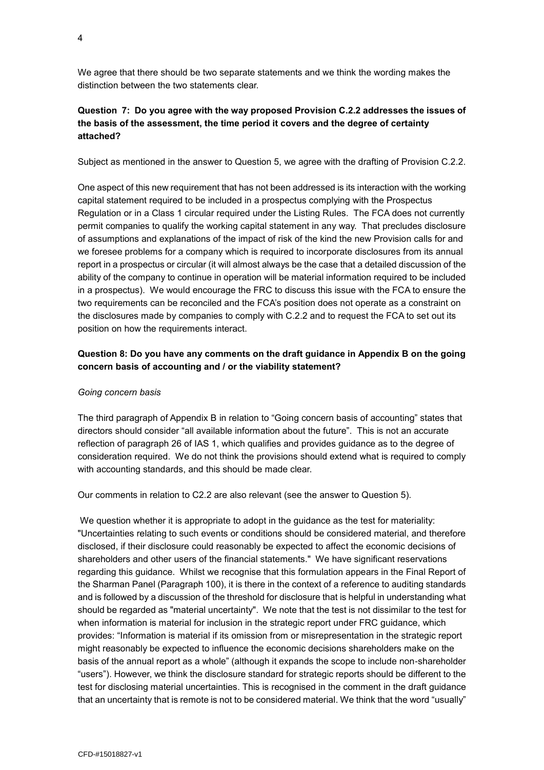We agree that there should be two separate statements and we think the wording makes the distinction between the two statements clear.

## **Question 7: Do you agree with the way proposed Provision C.2.2 addresses the issues of the basis of the assessment, the time period it covers and the degree of certainty attached?**

Subject as mentioned in the answer to Question 5, we agree with the drafting of Provision C.2.2.

One aspect of this new requirement that has not been addressed is its interaction with the working capital statement required to be included in a prospectus complying with the Prospectus Regulation or in a Class 1 circular required under the Listing Rules. The FCA does not currently permit companies to qualify the working capital statement in any way. That precludes disclosure of assumptions and explanations of the impact of risk of the kind the new Provision calls for and we foresee problems for a company which is required to incorporate disclosures from its annual report in a prospectus or circular (it will almost always be the case that a detailed discussion of the ability of the company to continue in operation will be material information required to be included in a prospectus). We would encourage the FRC to discuss this issue with the FCA to ensure the two requirements can be reconciled and the FCA's position does not operate as a constraint on the disclosures made by companies to comply with C.2.2 and to request the FCA to set out its position on how the requirements interact.

### **Question 8: Do you have any comments on the draft guidance in Appendix B on the going concern basis of accounting and / or the viability statement?**

#### *Going concern basis*

The third paragraph of Appendix B in relation to "Going concern basis of accounting" states that directors should consider "all available information about the future". This is not an accurate reflection of paragraph 26 of IAS 1, which qualifies and provides guidance as to the degree of consideration required. We do not think the provisions should extend what is required to comply with accounting standards, and this should be made clear.

Our comments in relation to C2.2 are also relevant (see the answer to Question 5).

We question whether it is appropriate to adopt in the guidance as the test for materiality: "Uncertainties relating to such events or conditions should be considered material, and therefore disclosed, if their disclosure could reasonably be expected to affect the economic decisions of shareholders and other users of the financial statements." We have significant reservations regarding this guidance. Whilst we recognise that this formulation appears in the Final Report of the Sharman Panel (Paragraph 100), it is there in the context of a reference to auditing standards and is followed by a discussion of the threshold for disclosure that is helpful in understanding what should be regarded as "material uncertainty". We note that the test is not dissimilar to the test for when information is material for inclusion in the strategic report under FRC guidance, which provides: "Information is material if its omission from or misrepresentation in the strategic report might reasonably be expected to influence the economic decisions shareholders make on the basis of the annual report as a whole" (although it expands the scope to include non-shareholder "users"). However, we think the disclosure standard for strategic reports should be different to the test for disclosing material uncertainties. This is recognised in the comment in the draft guidance that an uncertainty that is remote is not to be considered material. We think that the word "usually"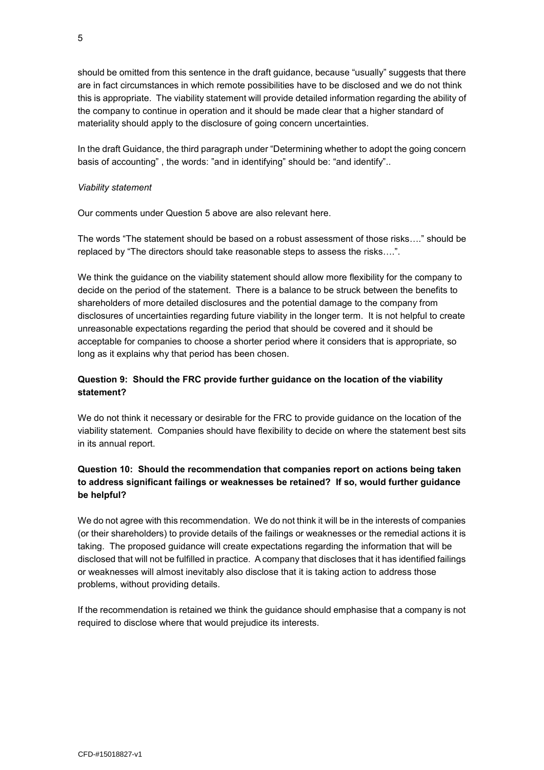should be omitted from this sentence in the draft guidance, because "usually" suggests that there are in fact circumstances in which remote possibilities have to be disclosed and we do not think this is appropriate. The viability statement will provide detailed information regarding the ability of the company to continue in operation and it should be made clear that a higher standard of materiality should apply to the disclosure of going concern uncertainties.

In the draft Guidance, the third paragraph under "Determining whether to adopt the going concern basis of accounting" , the words: "and in identifying" should be: "and identify"..

#### *Viability statement*

Our comments under Question 5 above are also relevant here.

The words "The statement should be based on a robust assessment of those risks…." should be replaced by "The directors should take reasonable steps to assess the risks….".

We think the guidance on the viability statement should allow more flexibility for the company to decide on the period of the statement. There is a balance to be struck between the benefits to shareholders of more detailed disclosures and the potential damage to the company from disclosures of uncertainties regarding future viability in the longer term. It is not helpful to create unreasonable expectations regarding the period that should be covered and it should be acceptable for companies to choose a shorter period where it considers that is appropriate, so long as it explains why that period has been chosen.

## **Question 9: Should the FRC provide further guidance on the location of the viability statement?**

We do not think it necessary or desirable for the FRC to provide guidance on the location of the viability statement. Companies should have flexibility to decide on where the statement best sits in its annual report.

## **Question 10: Should the recommendation that companies report on actions being taken to address significant failings or weaknesses be retained? If so, would further guidance be helpful?**

We do not agree with this recommendation. We do not think it will be in the interests of companies (or their shareholders) to provide details of the failings or weaknesses or the remedial actions it is taking. The proposed guidance will create expectations regarding the information that will be disclosed that will not be fulfilled in practice. A company that discloses that it has identified failings or weaknesses will almost inevitably also disclose that it is taking action to address those problems, without providing details.

If the recommendation is retained we think the guidance should emphasise that a company is not required to disclose where that would prejudice its interests.